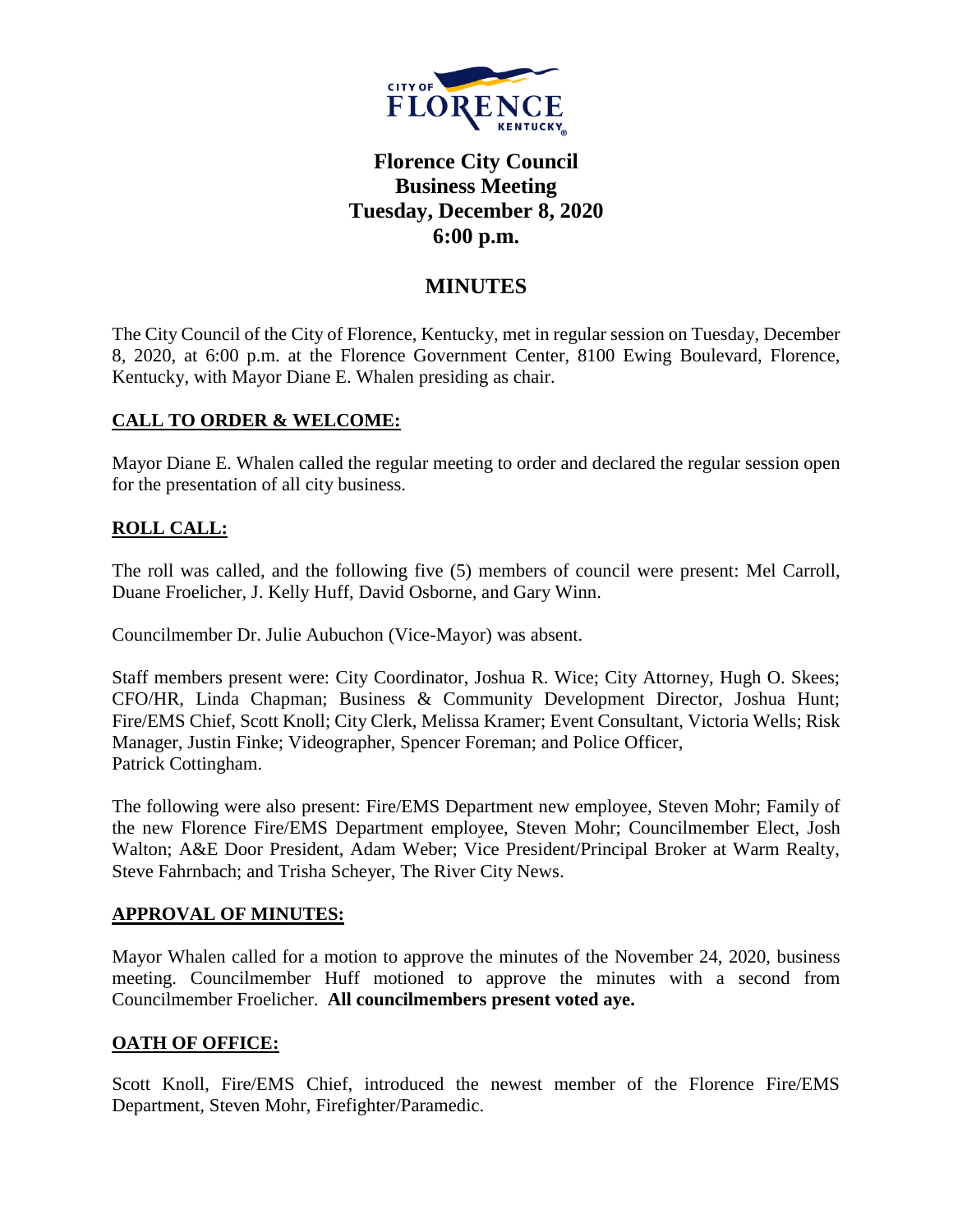

# **Florence City Council Business Meeting Tuesday, December 8, 2020 6:00 p.m.**

# **MINUTES**

The City Council of the City of Florence, Kentucky, met in regular session on Tuesday, December 8, 2020, at 6:00 p.m. at the Florence Government Center, 8100 Ewing Boulevard, Florence, Kentucky, with Mayor Diane E. Whalen presiding as chair.

# **CALL TO ORDER & WELCOME:**

Mayor Diane E. Whalen called the regular meeting to order and declared the regular session open for the presentation of all city business.

# **ROLL CALL:**

The roll was called, and the following five (5) members of council were present: Mel Carroll, Duane Froelicher, J. Kelly Huff, David Osborne, and Gary Winn.

Councilmember Dr. Julie Aubuchon (Vice-Mayor) was absent.

Staff members present were: City Coordinator, Joshua R. Wice; City Attorney, Hugh O. Skees; CFO/HR, Linda Chapman; Business & Community Development Director, Joshua Hunt; Fire/EMS Chief, Scott Knoll; City Clerk, Melissa Kramer; Event Consultant, Victoria Wells; Risk Manager, Justin Finke; Videographer, Spencer Foreman; and Police Officer, Patrick Cottingham.

The following were also present: Fire/EMS Department new employee, Steven Mohr; Family of the new Florence Fire/EMS Department employee, Steven Mohr; Councilmember Elect, Josh Walton; A&E Door President, Adam Weber; Vice President/Principal Broker at Warm Realty, Steve Fahrnbach; and Trisha Scheyer, The River City News.

# **APPROVAL OF MINUTES:**

Mayor Whalen called for a motion to approve the minutes of the November 24, 2020, business meeting. Councilmember Huff motioned to approve the minutes with a second from Councilmember Froelicher. **All councilmembers present voted aye.** 

# **OATH OF OFFICE:**

Scott Knoll, Fire/EMS Chief, introduced the newest member of the Florence Fire/EMS Department, Steven Mohr, Firefighter/Paramedic.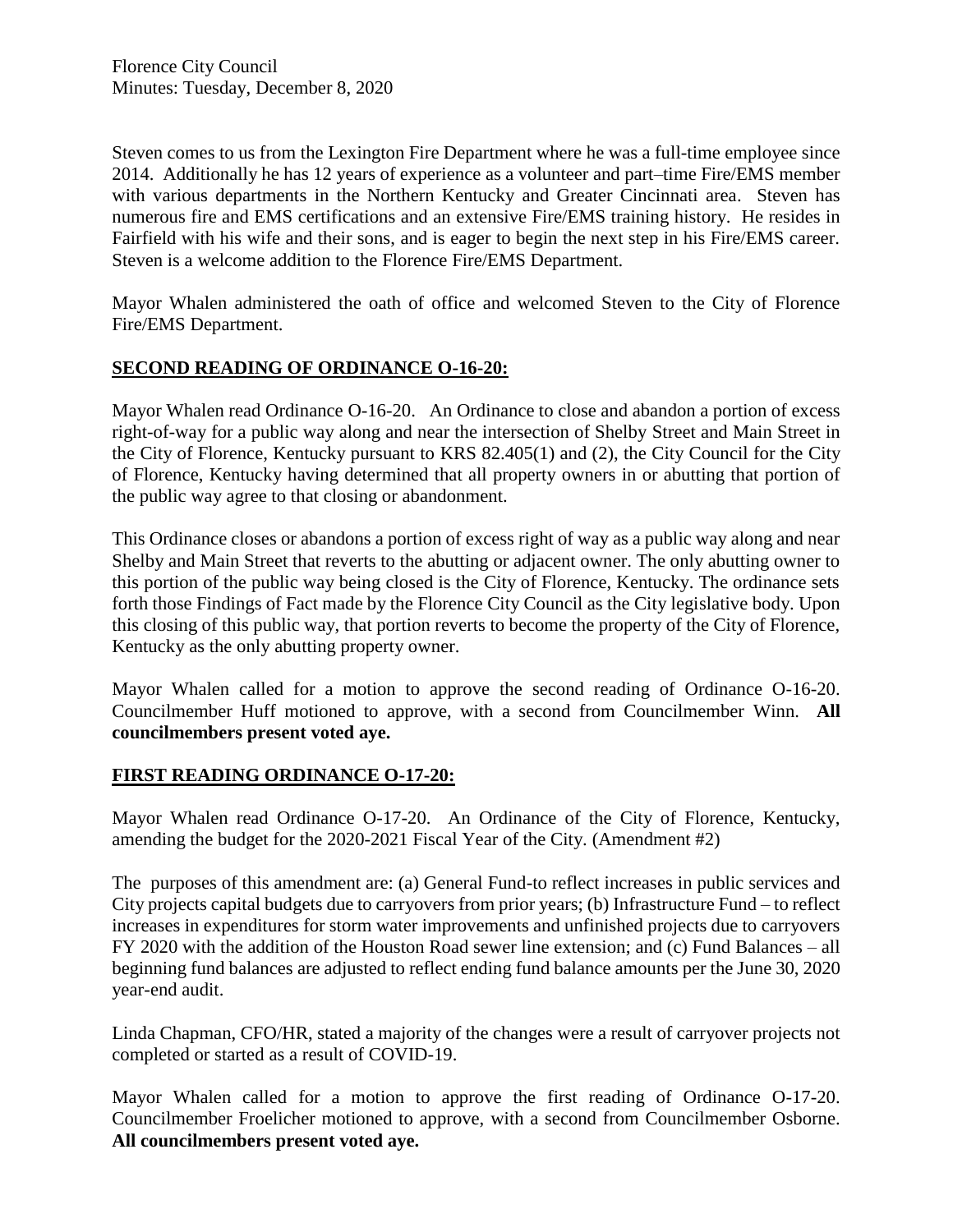Steven comes to us from the Lexington Fire Department where he was a full-time employee since 2014. Additionally he has 12 years of experience as a volunteer and part–time Fire/EMS member with various departments in the Northern Kentucky and Greater Cincinnati area. Steven has numerous fire and EMS certifications and an extensive Fire/EMS training history. He resides in Fairfield with his wife and their sons, and is eager to begin the next step in his Fire/EMS career. Steven is a welcome addition to the Florence Fire/EMS Department.

Mayor Whalen administered the oath of office and welcomed Steven to the City of Florence Fire/EMS Department.

### **SECOND READING OF ORDINANCE O-16-20:**

Mayor Whalen read Ordinance O-16-20. An Ordinance to close and abandon a portion of excess right-of-way for a public way along and near the intersection of Shelby Street and Main Street in the City of Florence, Kentucky pursuant to KRS 82.405(1) and (2), the City Council for the City of Florence, Kentucky having determined that all property owners in or abutting that portion of the public way agree to that closing or abandonment.

This Ordinance closes or abandons a portion of excess right of way as a public way along and near Shelby and Main Street that reverts to the abutting or adjacent owner. The only abutting owner to this portion of the public way being closed is the City of Florence, Kentucky. The ordinance sets forth those Findings of Fact made by the Florence City Council as the City legislative body. Upon this closing of this public way, that portion reverts to become the property of the City of Florence, Kentucky as the only abutting property owner.

Mayor Whalen called for a motion to approve the second reading of Ordinance O-16-20. Councilmember Huff motioned to approve, with a second from Councilmember Winn. **All councilmembers present voted aye.** 

#### **FIRST READING ORDINANCE O-17-20:**

Mayor Whalen read Ordinance O-17-20. An Ordinance of the City of Florence, Kentucky, amending the budget for the 2020-2021 Fiscal Year of the City. (Amendment #2)

The purposes of this amendment are: (a) General Fund-to reflect increases in public services and City projects capital budgets due to carryovers from prior years; (b) Infrastructure Fund – to reflect increases in expenditures for storm water improvements and unfinished projects due to carryovers FY 2020 with the addition of the Houston Road sewer line extension; and (c) Fund Balances – all beginning fund balances are adjusted to reflect ending fund balance amounts per the June 30, 2020 year-end audit.

Linda Chapman, CFO/HR, stated a majority of the changes were a result of carryover projects not completed or started as a result of COVID-19.

Mayor Whalen called for a motion to approve the first reading of Ordinance O-17-20. Councilmember Froelicher motioned to approve, with a second from Councilmember Osborne. **All councilmembers present voted aye.**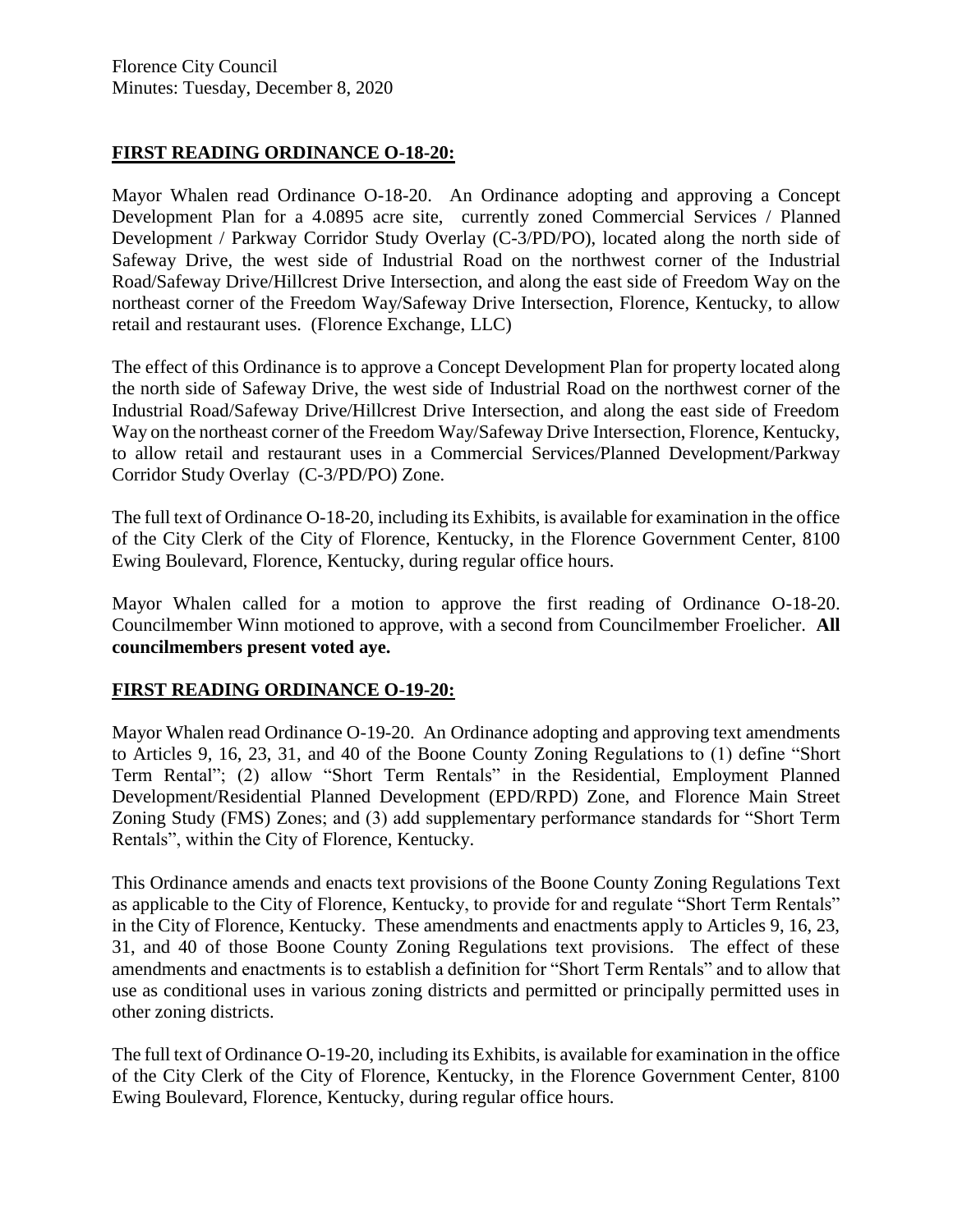### **FIRST READING ORDINANCE O-18-20:**

Mayor Whalen read Ordinance O-18-20. An Ordinance adopting and approving a Concept Development Plan for a 4.0895 acre site, currently zoned Commercial Services / Planned Development / Parkway Corridor Study Overlay (C-3/PD/PO), located along the north side of Safeway Drive, the west side of Industrial Road on the northwest corner of the Industrial Road/Safeway Drive/Hillcrest Drive Intersection, and along the east side of Freedom Way on the northeast corner of the Freedom Way/Safeway Drive Intersection, Florence, Kentucky, to allow retail and restaurant uses. (Florence Exchange, LLC)

The effect of this Ordinance is to approve a Concept Development Plan for property located along the north side of Safeway Drive, the west side of Industrial Road on the northwest corner of the Industrial Road/Safeway Drive/Hillcrest Drive Intersection, and along the east side of Freedom Way on the northeast corner of the Freedom Way/Safeway Drive Intersection, Florence, Kentucky, to allow retail and restaurant uses in a Commercial Services/Planned Development/Parkway Corridor Study Overlay (C-3/PD/PO) Zone.

The full text of Ordinance O-18-20, including its Exhibits, is available for examination in the office of the City Clerk of the City of Florence, Kentucky, in the Florence Government Center, 8100 Ewing Boulevard, Florence, Kentucky, during regular office hours.

Mayor Whalen called for a motion to approve the first reading of Ordinance O-18-20. Councilmember Winn motioned to approve, with a second from Councilmember Froelicher. **All councilmembers present voted aye.** 

#### **FIRST READING ORDINANCE O-19-20:**

Mayor Whalen read Ordinance O-19-20. An Ordinance adopting and approving text amendments to Articles 9, 16, 23, 31, and 40 of the Boone County Zoning Regulations to (1) define "Short Term Rental"; (2) allow "Short Term Rentals" in the Residential, Employment Planned Development/Residential Planned Development (EPD/RPD) Zone, and Florence Main Street Zoning Study (FMS) Zones; and (3) add supplementary performance standards for "Short Term Rentals", within the City of Florence, Kentucky.

This Ordinance amends and enacts text provisions of the Boone County Zoning Regulations Text as applicable to the City of Florence, Kentucky, to provide for and regulate "Short Term Rentals" in the City of Florence, Kentucky. These amendments and enactments apply to Articles 9, 16, 23, 31, and 40 of those Boone County Zoning Regulations text provisions. The effect of these amendments and enactments is to establish a definition for "Short Term Rentals" and to allow that use as conditional uses in various zoning districts and permitted or principally permitted uses in other zoning districts.

The full text of Ordinance O-19-20, including its Exhibits, is available for examination in the office of the City Clerk of the City of Florence, Kentucky, in the Florence Government Center, 8100 Ewing Boulevard, Florence, Kentucky, during regular office hours.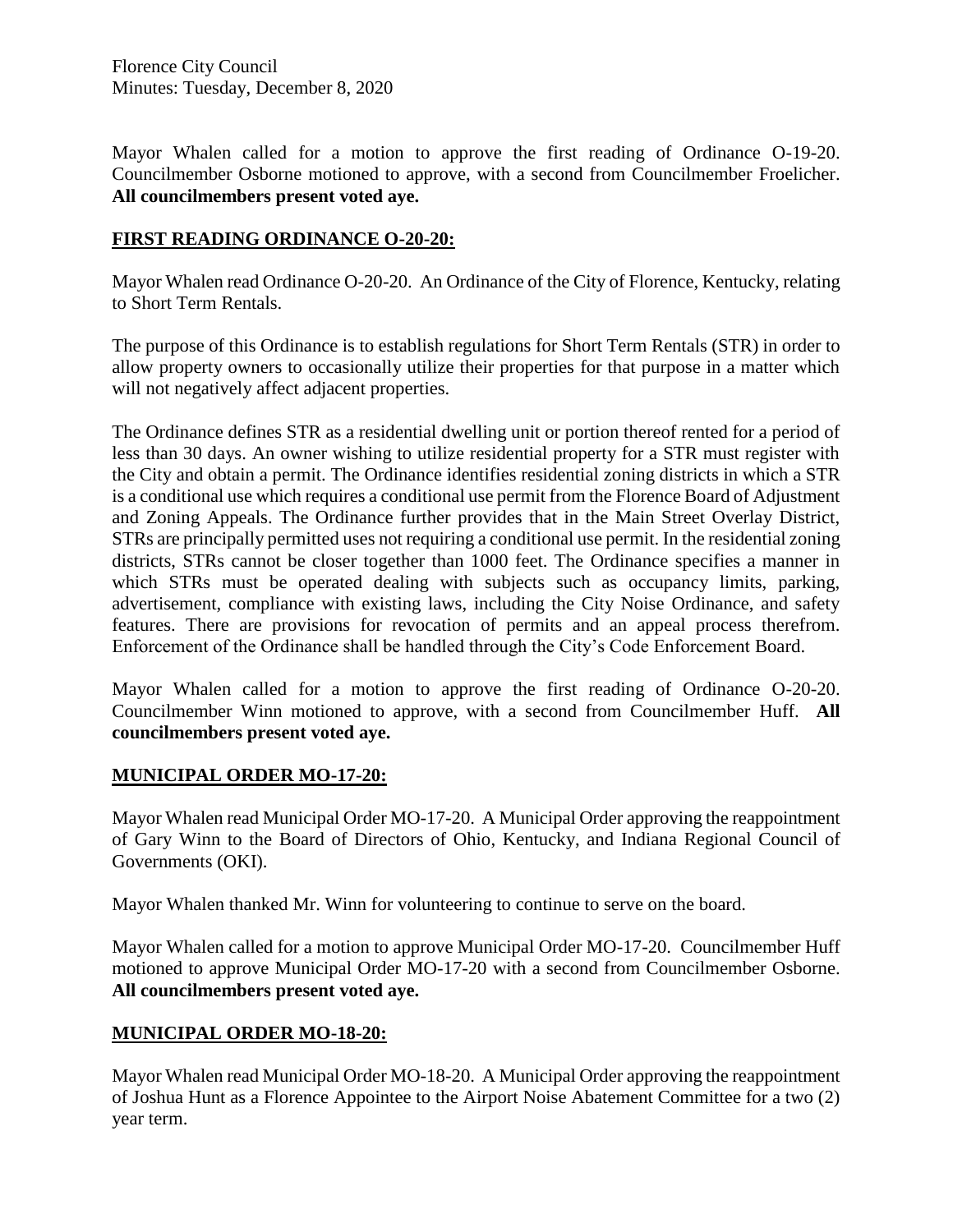Mayor Whalen called for a motion to approve the first reading of Ordinance O-19-20. Councilmember Osborne motioned to approve, with a second from Councilmember Froelicher. **All councilmembers present voted aye.** 

### **FIRST READING ORDINANCE O-20-20:**

Mayor Whalen read Ordinance O-20-20. An Ordinance of the City of Florence, Kentucky, relating to Short Term Rentals.

The purpose of this Ordinance is to establish regulations for Short Term Rentals (STR) in order to allow property owners to occasionally utilize their properties for that purpose in a matter which will not negatively affect adjacent properties.

The Ordinance defines STR as a residential dwelling unit or portion thereof rented for a period of less than 30 days. An owner wishing to utilize residential property for a STR must register with the City and obtain a permit. The Ordinance identifies residential zoning districts in which a STR is a conditional use which requires a conditional use permit from the Florence Board of Adjustment and Zoning Appeals. The Ordinance further provides that in the Main Street Overlay District, STRs are principally permitted uses not requiring a conditional use permit. In the residential zoning districts, STRs cannot be closer together than 1000 feet. The Ordinance specifies a manner in which STRs must be operated dealing with subjects such as occupancy limits, parking, advertisement, compliance with existing laws, including the City Noise Ordinance, and safety features. There are provisions for revocation of permits and an appeal process therefrom. Enforcement of the Ordinance shall be handled through the City's Code Enforcement Board.

Mayor Whalen called for a motion to approve the first reading of Ordinance O-20-20. Councilmember Winn motioned to approve, with a second from Councilmember Huff. **All councilmembers present voted aye.** 

#### **MUNICIPAL ORDER MO-17-20:**

Mayor Whalen read Municipal Order MO-17-20. A Municipal Order approving the reappointment of Gary Winn to the Board of Directors of Ohio, Kentucky, and Indiana Regional Council of Governments (OKI).

Mayor Whalen thanked Mr. Winn for volunteering to continue to serve on the board.

Mayor Whalen called for a motion to approve Municipal Order MO-17-20. Councilmember Huff motioned to approve Municipal Order MO-17-20 with a second from Councilmember Osborne. **All councilmembers present voted aye.**

# **MUNICIPAL ORDER MO-18-20:**

Mayor Whalen read Municipal Order MO-18-20. A Municipal Order approving the reappointment of Joshua Hunt as a Florence Appointee to the Airport Noise Abatement Committee for a two (2) year term.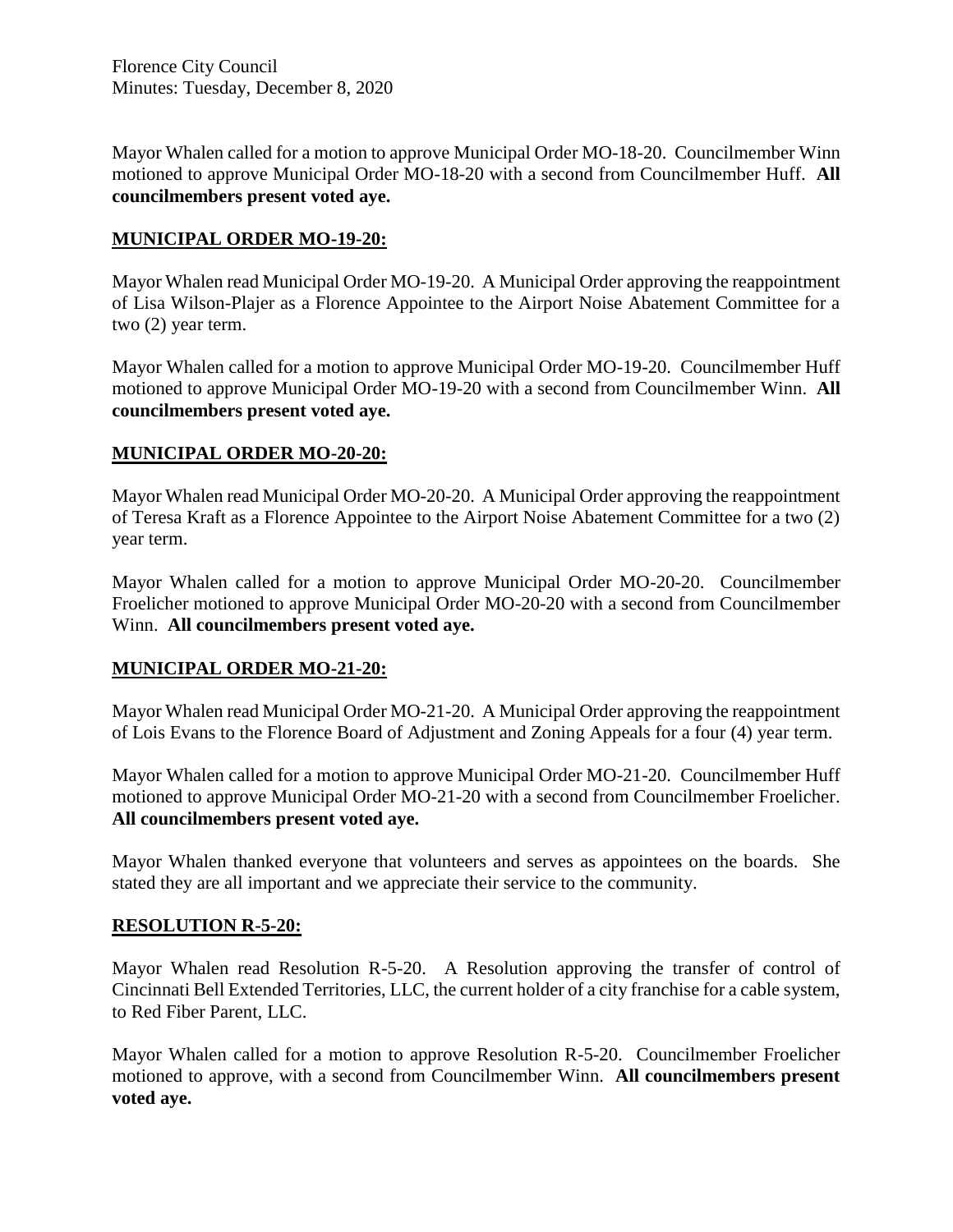Mayor Whalen called for a motion to approve Municipal Order MO-18-20. Councilmember Winn motioned to approve Municipal Order MO-18-20 with a second from Councilmember Huff. **All councilmembers present voted aye.**

# **MUNICIPAL ORDER MO-19-20:**

Mayor Whalen read Municipal Order MO-19-20. A Municipal Order approving the reappointment of Lisa Wilson-Plajer as a Florence Appointee to the Airport Noise Abatement Committee for a two (2) year term.

Mayor Whalen called for a motion to approve Municipal Order MO-19-20. Councilmember Huff motioned to approve Municipal Order MO-19-20 with a second from Councilmember Winn. **All councilmembers present voted aye.**

# **MUNICIPAL ORDER MO-20-20:**

Mayor Whalen read Municipal Order MO-20-20. A Municipal Order approving the reappointment of Teresa Kraft as a Florence Appointee to the Airport Noise Abatement Committee for a two (2) year term.

Mayor Whalen called for a motion to approve Municipal Order MO-20-20. Councilmember Froelicher motioned to approve Municipal Order MO-20-20 with a second from Councilmember Winn. **All councilmembers present voted aye.**

# **MUNICIPAL ORDER MO-21-20:**

Mayor Whalen read Municipal Order MO-21-20. A Municipal Order approving the reappointment of Lois Evans to the Florence Board of Adjustment and Zoning Appeals for a four (4) year term.

Mayor Whalen called for a motion to approve Municipal Order MO-21-20. Councilmember Huff motioned to approve Municipal Order MO-21-20 with a second from Councilmember Froelicher. **All councilmembers present voted aye.**

Mayor Whalen thanked everyone that volunteers and serves as appointees on the boards. She stated they are all important and we appreciate their service to the community.

# **RESOLUTION R-5-20:**

Mayor Whalen read Resolution R-5-20. A Resolution approving the transfer of control of Cincinnati Bell Extended Territories, LLC, the current holder of a city franchise for a cable system, to Red Fiber Parent, LLC.

Mayor Whalen called for a motion to approve Resolution R-5-20. Councilmember Froelicher motioned to approve, with a second from Councilmember Winn. **All councilmembers present voted aye.**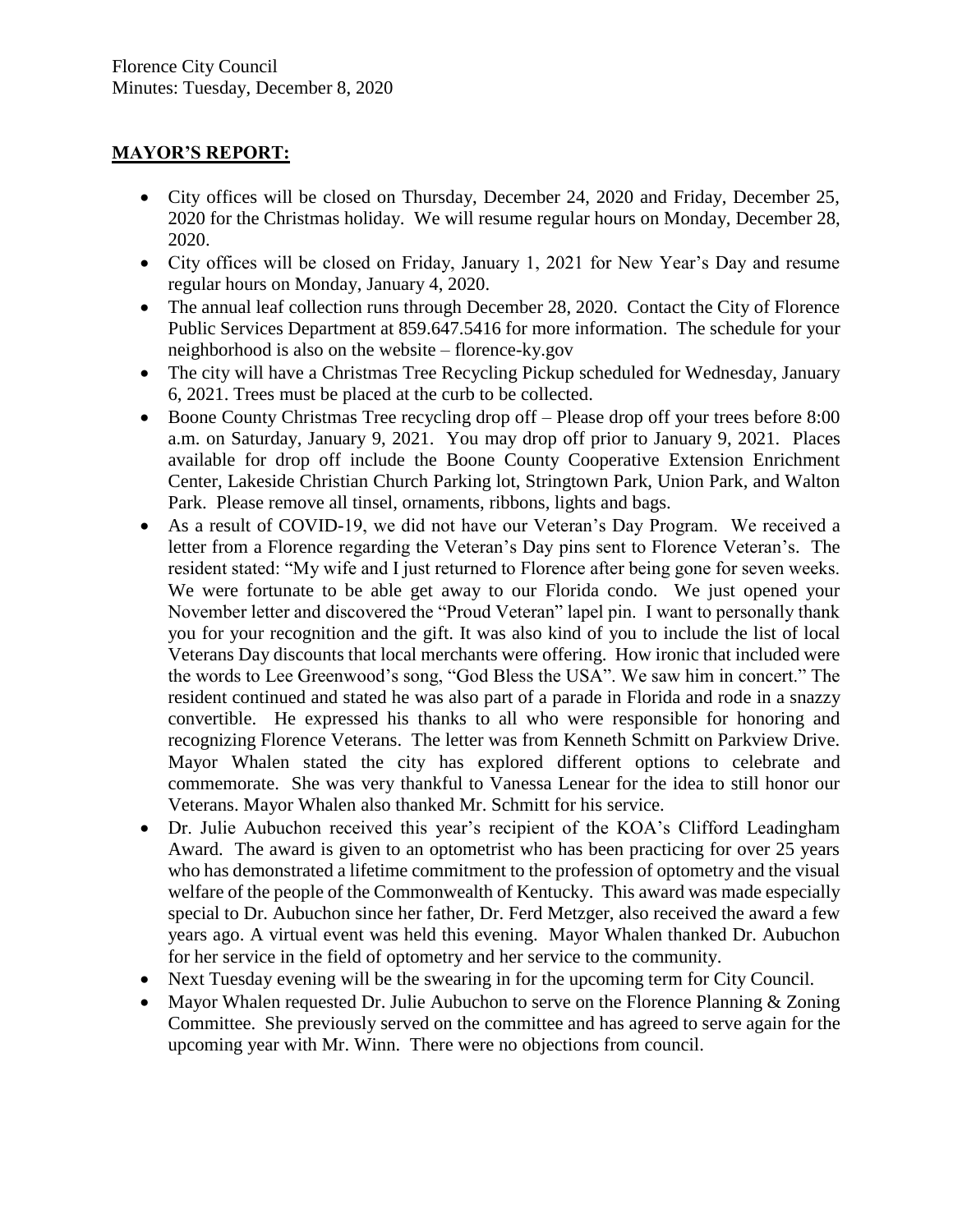# **MAYOR'S REPORT:**

- City offices will be closed on Thursday, December 24, 2020 and Friday, December 25, 2020 for the Christmas holiday. We will resume regular hours on Monday, December 28, 2020.
- City offices will be closed on Friday, January 1, 2021 for New Year's Day and resume regular hours on Monday, January 4, 2020.
- The annual leaf collection runs through December 28, 2020. Contact the City of Florence Public Services Department at 859.647.5416 for more information. The schedule for your neighborhood is also on the website – florence-ky.gov
- The city will have a Christmas Tree Recycling Pickup scheduled for Wednesday, January 6, 2021. Trees must be placed at the curb to be collected.
- Boone County Christmas Tree recycling drop off Please drop off your trees before 8:00 a.m. on Saturday, January 9, 2021. You may drop off prior to January 9, 2021. Places available for drop off include the Boone County Cooperative Extension Enrichment Center, Lakeside Christian Church Parking lot, Stringtown Park, Union Park, and Walton Park. Please remove all tinsel, ornaments, ribbons, lights and bags.
- As a result of COVID-19, we did not have our Veteran's Day Program. We received a letter from a Florence regarding the Veteran's Day pins sent to Florence Veteran's. The resident stated: "My wife and I just returned to Florence after being gone for seven weeks. We were fortunate to be able get away to our Florida condo. We just opened your November letter and discovered the "Proud Veteran" lapel pin. I want to personally thank you for your recognition and the gift. It was also kind of you to include the list of local Veterans Day discounts that local merchants were offering. How ironic that included were the words to Lee Greenwood's song, "God Bless the USA". We saw him in concert." The resident continued and stated he was also part of a parade in Florida and rode in a snazzy convertible. He expressed his thanks to all who were responsible for honoring and recognizing Florence Veterans. The letter was from Kenneth Schmitt on Parkview Drive. Mayor Whalen stated the city has explored different options to celebrate and commemorate. She was very thankful to Vanessa Lenear for the idea to still honor our Veterans. Mayor Whalen also thanked Mr. Schmitt for his service.
- Dr. Julie Aubuchon received this year's recipient of the KOA's Clifford Leadingham Award. The award is given to an optometrist who has been practicing for over 25 years who has demonstrated a lifetime commitment to the profession of optometry and the visual welfare of the people of the Commonwealth of Kentucky. This award was made especially special to Dr. Aubuchon since her father, Dr. Ferd Metzger, also received the award a few years ago. A virtual event was held this evening. Mayor Whalen thanked Dr. Aubuchon for her service in the field of optometry and her service to the community.
- Next Tuesday evening will be the swearing in for the upcoming term for City Council.
- Mayor Whalen requested Dr. Julie Aubuchon to serve on the Florence Planning & Zoning Committee. She previously served on the committee and has agreed to serve again for the upcoming year with Mr. Winn. There were no objections from council.